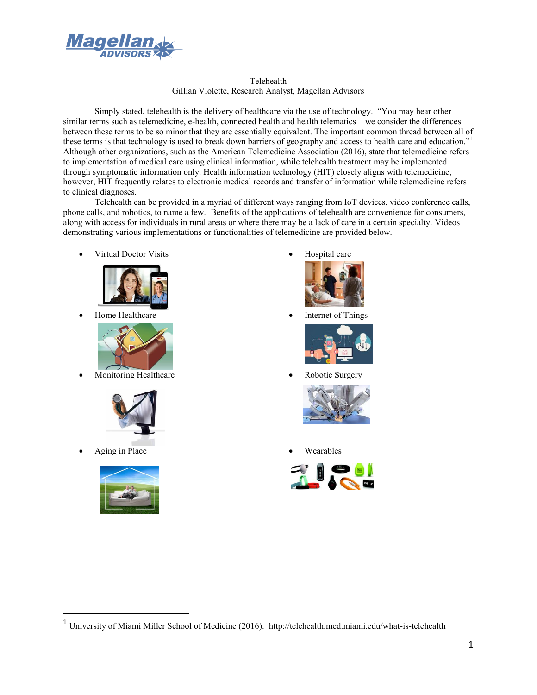

Telehealth Gillian Violette, Research Analyst, Magellan Advisors

Simply stated, telehealth is the delivery of healthcare via the use of technology. "You may hear other similar terms such as telemedicine, e-health, connected health and health telematics – we consider the differences between these terms to be so minor that they are essentially equivalent. The important common thread between all of these terms is that technology is used to break down barriers of geography and access to health care and education." Although other organizations, such as the American Telemedicine Association (2016), state that telemedicine refers to implementation of medical care using clinical information, while telehealth treatment may be implemented through symptomatic information only. Health information technology (HIT) closely aligns with telemedicine, however, HIT frequently relates to electronic medical records and transfer of information while telemedicine refers to clinical diagnoses.

Telehealth can be provided in a myriad of different ways ranging from IoT devices, video conference calls, phone calls, and robotics, to name a few. Benefits of the applications of telehealth are convenience for consumers, along with access for individuals in rural areas or where there may be a lack of care in a certain specialty. Videos demonstrating various implementations or functionalities of telemedicine are provided below.

Virtual Doctor Visits **a** Hospital care





Monitoring Healthcare **X** Robotic Surgery



Aging in Place Wearables





Home Healthcare **a** Internet of Things







 <sup>1</sup> University of Miami Miller School of Medicine (2016). http://telehealth.med.miami.edu/what-is-telehealth